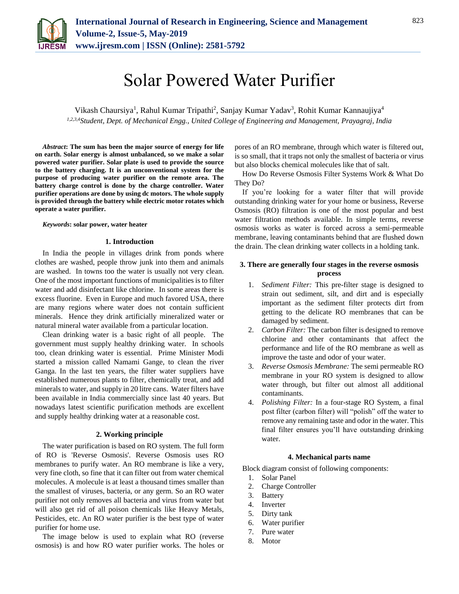

# Solar Powered Water Purifier

Vikash Chaursiya<sup>1</sup>, Rahul Kumar Tripathi<sup>2</sup>, Sanjay Kumar Yadav<sup>3</sup>, Rohit Kumar Kannaujiya<sup>4</sup> *1,2,3,4Student, Dept. of Mechanical Engg., United College of Engineering and Management, Prayagraj, India*

*Abstract***: The sum has been the major source of energy for life on earth. Solar energy is almost unbalanced, so we make a solar powered water purifier. Solar plate is used to provide the source to the battery charging. It is an unconventional system for the purpose of producing water purifier on the remote area. The battery charge control is done by the charge controller. Water purifier operations are done by using dc motors. The whole supply is provided through the battery while electric motor rotates which operate a water purifier.** 

#### *Keywords***: solar power, water heater**

#### **1. Introduction**

In India the people in villages drink from ponds where clothes are washed, people throw junk into them and animals are washed. In towns too the water is usually not very clean. One of the most important functions of municipalities is to filter water and add disinfectant like chlorine. In some areas there is excess fluorine. Even in Europe and much favored USA, there are many regions where water does not contain sufficient minerals. Hence they drink artificially mineralized water or natural mineral water available from a particular location.

Clean drinking water is a basic right of all people. The government must supply healthy drinking water. In schools too, clean drinking water is essential. Prime Minister Modi started a mission called Namami Gange, to clean the river Ganga. In the last ten years, the filter water suppliers have established numerous plants to filter, chemically treat, and add minerals to water, and supply in 20 litre cans. Water filters have been available in India commercially since last 40 years. But nowadays latest scientific purification methods are excellent and supply healthy drinking water at a reasonable cost.

#### **2. Working principle**

The water purification is based on RO system. The full form of RO is 'Reverse Osmosis'. Reverse Osmosis uses RO membranes to purify water. An RO membrane is like a very, very fine cloth, so fine that it can filter out from water chemical molecules. A molecule is at least a thousand times smaller than the smallest of viruses, bacteria, or any germ. So an RO water purifier not only removes all bacteria and virus from water but will also get rid of all poison chemicals like Heavy Metals, Pesticides, etc. An RO water purifier is the best type of water purifier for home use.

The image below is used to explain what RO (reverse osmosis) is and how RO water purifier works. The holes or pores of an RO membrane, through which water is filtered out, is so small, that it traps not only the smallest of bacteria or virus but also blocks chemical molecules like that of salt.

How Do Reverse Osmosis Filter Systems Work & What Do They Do?

If you're looking for a water filter that will provide outstanding drinking water for your home or business, Reverse Osmosis (RO) filtration is one of the most popular and best water filtration methods available. In simple terms, reverse osmosis works as water is forced across a semi-permeable membrane, leaving contaminants behind that are flushed down the drain. The clean drinking water collects in a holding tank.

# **3. There are generally four stages in the reverse osmosis process**

- 1. *Sediment Filter:* This pre-filter stage is designed to strain out sediment, silt, and dirt and is especially important as the sediment filter protects dirt from getting to the delicate RO membranes that can be damaged by sediment.
- 2. *Carbon Filter:* The carbon filter is designed to remove chlorine and other contaminants that affect the performance and life of the RO membrane as well as improve the taste and odor of your water.
- 3. *Reverse Osmosis Membrane:* The semi permeable RO membrane in your RO system is designed to allow water through, but filter out almost all additional contaminants.
- 4. *Polishing Filter:* In a four-stage RO System, a final post filter (carbon filter) will "polish" off the water to remove any remaining taste and odor in the water. This final filter ensures you'll have outstanding drinking water.

# **4. Mechanical parts name**

Block diagram consist of following components:

- 1. Solar Panel
- 2. Charge Controller
- 3. Battery
- 4. Inverter
- 5. Dirty tank
- 6. Water purifier
- 7. Pure water
- 8. Motor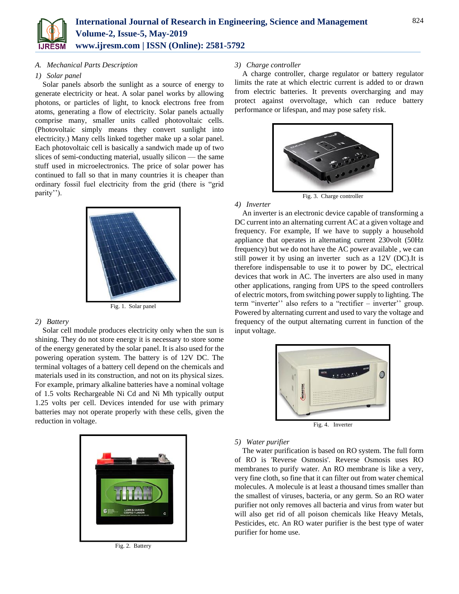

## *A. Mechanical Parts Description*

#### *1) Solar panel*

Solar panels absorb the sunlight as a source of energy to generate electricity or heat. A solar panel works by allowing photons, or particles of light, to knock electrons free from atoms, generating a flow of electricity. Solar panels actually comprise many, smaller units called photovoltaic cells. (Photovoltaic simply means they convert sunlight into electricity.) Many cells linked together make up a solar panel. Each photovoltaic cell is basically a sandwich made up of two slices of semi-conducting material, usually silicon — the same stuff used in microelectronics. The price of solar power has continued to fall so that in many countries it is cheaper than ordinary fossil fuel electricity from the grid (there is "grid parity'').



#### *2) Battery*

Solar cell module produces electricity only when the sun is shining. They do not store energy it is necessary to store some of the energy generated by the solar panel. It is also used for the powering operation system. The battery is of 12V DC. The terminal voltages of a battery cell depend on the chemicals and materials used in its construction, and not on its physical sizes. For example, primary alkaline batteries have a nominal voltage of 1.5 volts Rechargeable Ni Cd and Ni Mh typically output 1.25 volts per cell. Devices intended for use with primary batteries may not operate properly with these cells, given the reduction in voltage.



Fig. 2. Battery

# *3) Charge controller*

A charge controller, charge regulator or battery regulator limits the rate at which electric current is added to or drawn from electric batteries. It prevents overcharging and may protect against overvoltage, which can reduce battery performance or lifespan, and may pose safety risk.



Fig. 3. Charge controller

#### *4) Inverter*

An inverter is an electronic device capable of transforming a DC current into an alternating current AC at a given voltage and frequency. For example, If we have to supply a household appliance that operates in alternating current 230volt (50Hz frequency) but we do not have the AC power available , we can still power it by using an inverter such as a 12V (DC).It is therefore indispensable to use it to power by DC, electrical devices that work in AC. The inverters are also used in many other applications, ranging from UPS to the speed controllers of electric motors, from switching power supply to lighting. The term "inverter'' also refers to a "rectifier – inverter'' group. Powered by alternating current and used to vary the voltage and frequency of the output alternating current in function of the input voltage.



Fig. 4. Inverter

# *5) Water purifier*

The water purification is based on RO system. The full form of RO is 'Reverse Osmosis'. Reverse Osmosis uses RO membranes to purify water. An RO membrane is like a very, very fine cloth, so fine that it can filter out from water chemical molecules. A molecule is at least a thousand times smaller than the smallest of viruses, bacteria, or any germ. So an RO water purifier not only removes all bacteria and virus from water but will also get rid of all poison chemicals like Heavy Metals, Pesticides, etc. An RO water purifier is the best type of water purifier for home use.